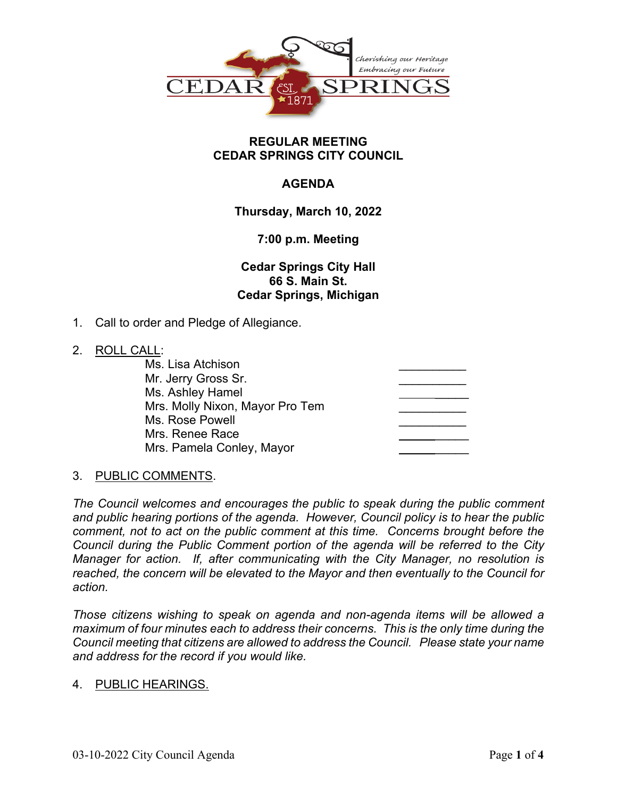

#### **REGULAR MEETING CEDAR SPRINGS CITY COUNCIL**

# **AGENDA**

**Thursday, March 10, 2022**

## **7:00 p.m. Meeting**

**Cedar Springs City Hall 66 S. Main St. Cedar Springs, Michigan**

1. Call to order and Pledge of Allegiance.

#### 2. ROLL CALL:

| <u>. . </u> |                                 |  |
|-------------|---------------------------------|--|
|             | Ms. Lisa Atchison               |  |
|             | Mr. Jerry Gross Sr.             |  |
|             | Ms. Ashley Hamel                |  |
|             | Mrs. Molly Nixon, Mayor Pro Tem |  |
|             | Ms. Rose Powell                 |  |
|             | Mrs. Renee Race                 |  |
|             | Mrs. Pamela Conley, Mayor       |  |
|             |                                 |  |

#### 3. PUBLIC COMMENTS.

*The Council welcomes and encourages the public to speak during the public comment and public hearing portions of the agenda. However, Council policy is to hear the public comment, not to act on the public comment at this time. Concerns brought before the Council during the Public Comment portion of the agenda will be referred to the City Manager for action. If, after communicating with the City Manager, no resolution is reached, the concern will be elevated to the Mayor and then eventually to the Council for action.*

*Those citizens wishing to speak on agenda and non-agenda items will be allowed a maximum of four minutes each to address their concerns. This is the only time during the Council meeting that citizens are allowed to address the Council. Please state your name and address for the record if you would like.*

#### 4. PUBLIC HEARINGS.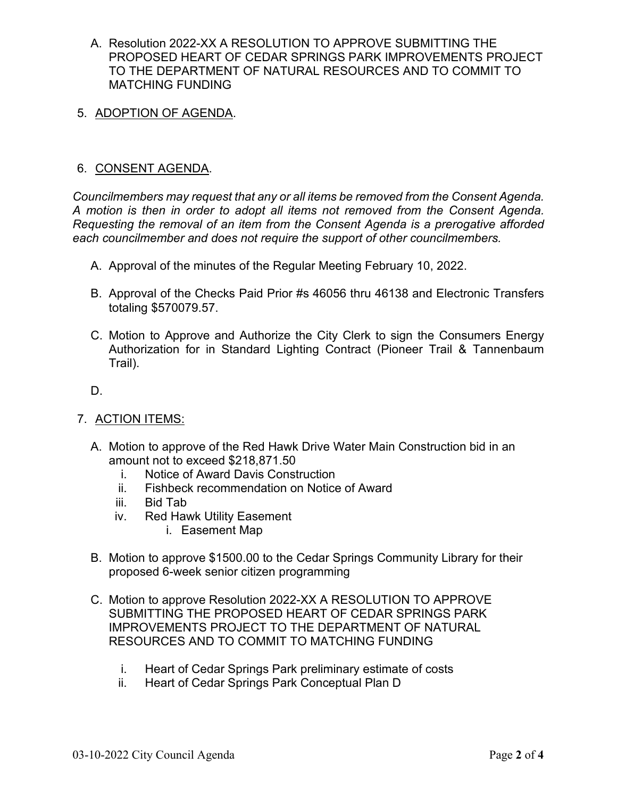- A. Resolution 2022-XX A RESOLUTION TO APPROVE SUBMITTING THE PROPOSED HEART OF CEDAR SPRINGS PARK IMPROVEMENTS PROJECT TO THE DEPARTMENT OF NATURAL RESOURCES AND TO COMMIT TO MATCHING FUNDING
- 5. ADOPTION OF AGENDA.

## 6. CONSENT AGENDA.

*Councilmembers may request that any or all items be removed from the Consent Agenda. A motion is then in order to adopt all items not removed from the Consent Agenda. Requesting the removal of an item from the Consent Agenda is a prerogative afforded each councilmember and does not require the support of other councilmembers.*

- A. Approval of the minutes of the Regular Meeting February 10, 2022.
- B. Approval of the Checks Paid Prior #s 46056 thru 46138 and Electronic Transfers totaling \$570079.57.
- C. Motion to Approve and Authorize the City Clerk to sign the Consumers Energy Authorization for in Standard Lighting Contract (Pioneer Trail & Tannenbaum Trail).

D.

- 7. ACTION ITEMS:
	- A. Motion to approve of the Red Hawk Drive Water Main Construction bid in an amount not to exceed \$218,871.50
		- i. Notice of Award Davis Construction
		- ii. Fishbeck recommendation on Notice of Award
		- iii. Bid Tab
		- iv. Red Hawk Utility Easement
			- i. Easement Map
	- B. Motion to approve \$1500.00 to the Cedar Springs Community Library for their proposed 6-week senior citizen programming
	- C. Motion to approve Resolution 2022-XX A RESOLUTION TO APPROVE SUBMITTING THE PROPOSED HEART OF CEDAR SPRINGS PARK IMPROVEMENTS PROJECT TO THE DEPARTMENT OF NATURAL RESOURCES AND TO COMMIT TO MATCHING FUNDING
		- i. Heart of Cedar Springs Park preliminary estimate of costs
		- ii. Heart of Cedar Springs Park Conceptual Plan D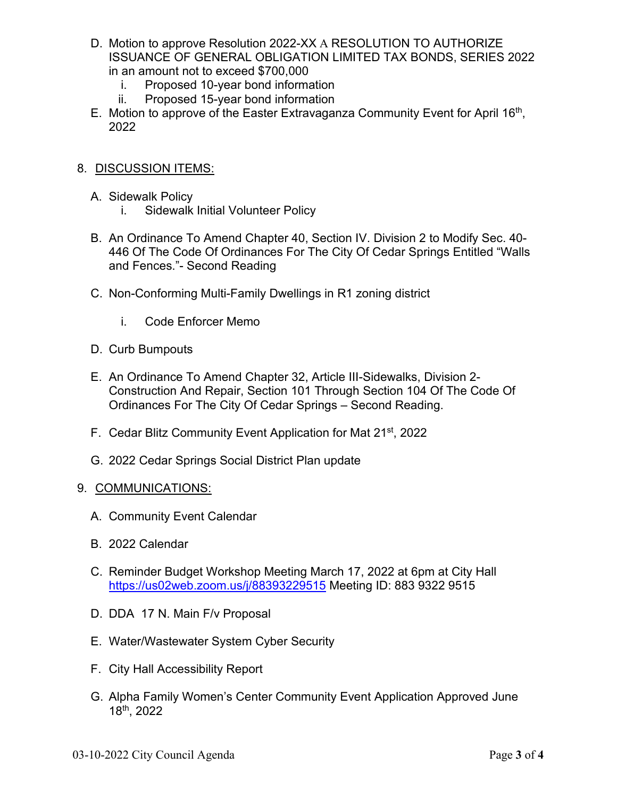- D. Motion to approve Resolution 2022-XX A RESOLUTION TO AUTHORIZE ISSUANCE OF GENERAL OBLIGATION LIMITED TAX BONDS, SERIES 2022 in an amount not to exceed \$700,000
	- i. Proposed 10-year bond information
	- ii. Proposed 15-year bond information
- E. Motion to approve of the Easter Extravaganza Community Event for April  $16<sup>th</sup>$ , 2022
- 8. DISCUSSION ITEMS:
	- A. Sidewalk Policy
		- i. Sidewalk Initial Volunteer Policy
	- B. An Ordinance To Amend Chapter 40, Section IV. Division 2 to Modify Sec. 40- 446 Of The Code Of Ordinances For The City Of Cedar Springs Entitled "Walls and Fences."- Second Reading
	- C. Non-Conforming Multi-Family Dwellings in R1 zoning district
		- i. Code Enforcer Memo
	- D. Curb Bumpouts
	- E. An Ordinance To Amend Chapter 32, Article III-Sidewalks, Division 2- Construction And Repair, Section 101 Through Section 104 Of The Code Of Ordinances For The City Of Cedar Springs – Second Reading.
	- F. Cedar Blitz Community Event Application for Mat 21st, 2022
	- G. 2022 Cedar Springs Social District Plan update

#### 9. COMMUNICATIONS:

- A. Community Event Calendar
- B. 2022 Calendar
- C. Reminder Budget Workshop Meeting March 17, 2022 at 6pm at City Hall <https://us02web.zoom.us/j/88393229515> Meeting ID: 883 9322 9515
- D. DDA 17 N. Main F/v Proposal
- E. Water/Wastewater System Cyber Security
- F. City Hall Accessibility Report
- G. Alpha Family Women's Center Community Event Application Approved June 18th, 2022